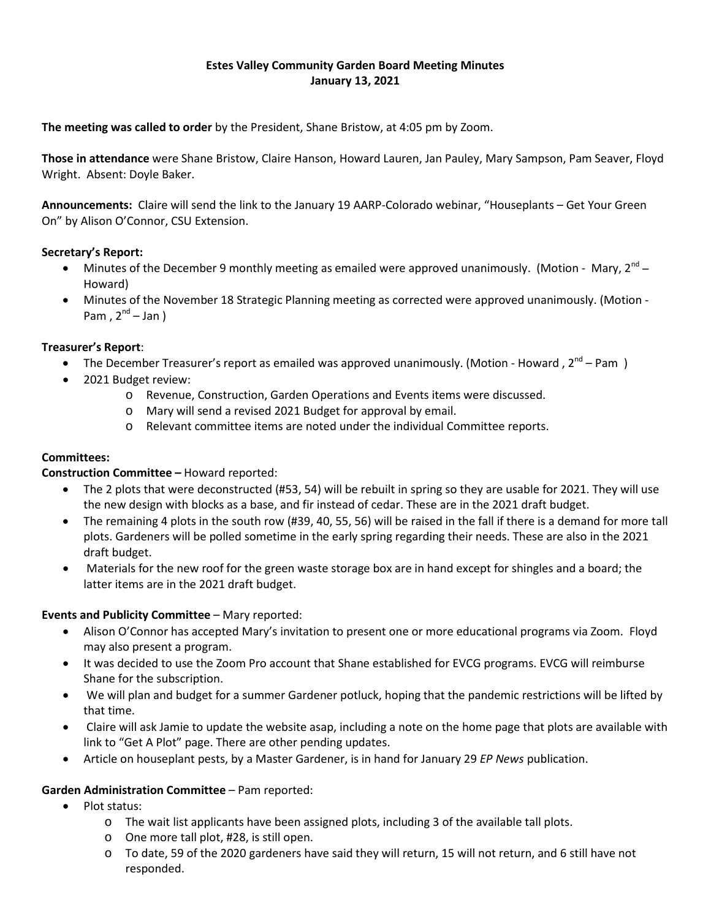## **Estes Valley Community Garden Board Meeting Minutes January 13, 2021**

**The meeting was called to order** by the President, Shane Bristow, at 4:05 pm by Zoom.

**Those in attendance** were Shane Bristow, Claire Hanson, Howard Lauren, Jan Pauley, Mary Sampson, Pam Seaver, Floyd Wright. Absent: Doyle Baker.

**Announcements:** Claire will send the link to the January 19 AARP-Colorado webinar, "Houseplants – Get Your Green On" by Alison O'Connor, CSU Extension.

## **Secretary's Report:**

- Minutes of the December 9 monthly meeting as emailed were approved unanimously. (Motion Mary,  $2^{nd}$  Howard)
- Minutes of the November 18 Strategic Planning meeting as corrected were approved unanimously. (Motion Pam,  $2^{nd}$  – Jan )

## **Treasurer's Report**:

- The December Treasurer's report as emailed was approved unanimously. (Motion Howard,  $2^{nd}$  Pam )
- 2021 Budget review:
	- o Revenue, Construction, Garden Operations and Events items were discussed.
	- o Mary will send a revised 2021 Budget for approval by email.
	- o Relevant committee items are noted under the individual Committee reports.

### **Committees:**

### **Construction Committee –** Howard reported:

- The 2 plots that were deconstructed (#53, 54) will be rebuilt in spring so they are usable for 2021. They will use the new design with blocks as a base, and fir instead of cedar. These are in the 2021 draft budget.
- The remaining 4 plots in the south row (#39, 40, 55, 56) will be raised in the fall if there is a demand for more tall plots. Gardeners will be polled sometime in the early spring regarding their needs. These are also in the 2021 draft budget.
- Materials for the new roof for the green waste storage box are in hand except for shingles and a board; the latter items are in the 2021 draft budget.

### **Events and Publicity Committee** – Mary reported:

- Alison O'Connor has accepted Mary's invitation to present one or more educational programs via Zoom. Floyd may also present a program.
- It was decided to use the Zoom Pro account that Shane established for EVCG programs. EVCG will reimburse Shane for the subscription.
- We will plan and budget for a summer Gardener potluck, hoping that the pandemic restrictions will be lifted by that time.
- Claire will ask Jamie to update the website asap, including a note on the home page that plots are available with link to "Get A Plot" page. There are other pending updates.
- Article on houseplant pests, by a Master Gardener, is in hand for January 29 *EP News* publication.

### **Garden Administration Committee** – Pam reported:

- Plot status:
	- o The wait list applicants have been assigned plots, including 3 of the available tall plots.
	- o One more tall plot, #28, is still open.
	- o To date, 59 of the 2020 gardeners have said they will return, 15 will not return, and 6 still have not responded.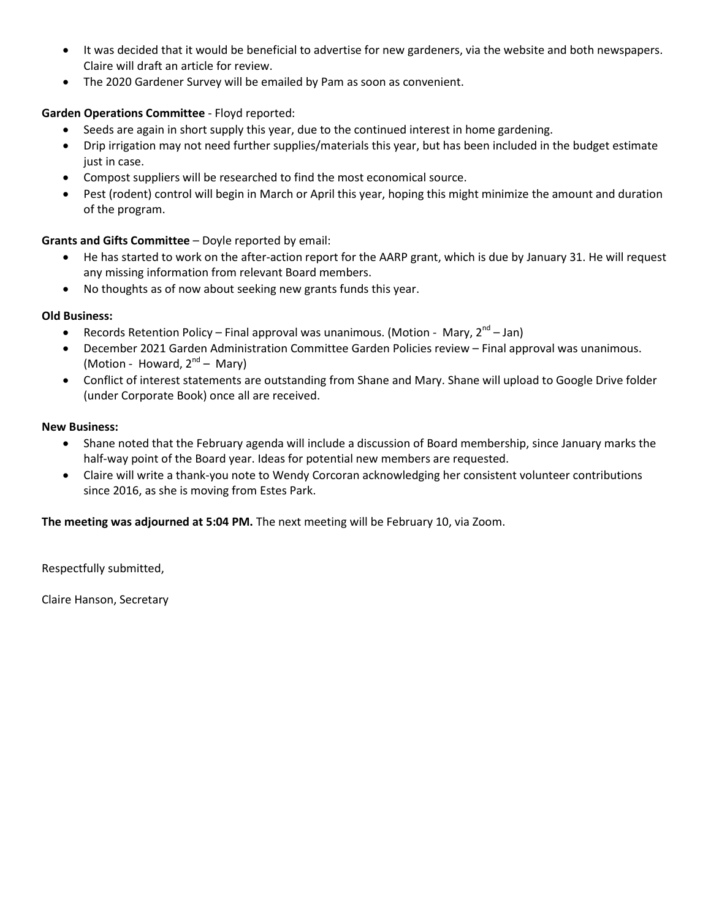- It was decided that it would be beneficial to advertise for new gardeners, via the website and both newspapers. Claire will draft an article for review.
- The 2020 Gardener Survey will be emailed by Pam as soon as convenient.

# **Garden Operations Committee** - Floyd reported:

- Seeds are again in short supply this year, due to the continued interest in home gardening.
- Drip irrigation may not need further supplies/materials this year, but has been included in the budget estimate just in case.
- Compost suppliers will be researched to find the most economical source.
- Pest (rodent) control will begin in March or April this year, hoping this might minimize the amount and duration of the program.

# **Grants and Gifts Committee** – Doyle reported by email:

- He has started to work on the after-action report for the AARP grant, which is due by January 31. He will request any missing information from relevant Board members.
- No thoughts as of now about seeking new grants funds this year.

# **Old Business:**

- Records Retention Policy Final approval was unanimous. (Motion Mary,  $2^{nd}$  Jan)
- December 2021 Garden Administration Committee Garden Policies review Final approval was unanimous. (Motion - Howard,  $2^{nd}$  – Mary)
- Conflict of interest statements are outstanding from Shane and Mary. Shane will upload to Google Drive folder (under Corporate Book) once all are received.

# **New Business:**

- Shane noted that the February agenda will include a discussion of Board membership, since January marks the half-way point of the Board year. Ideas for potential new members are requested.
- Claire will write a thank-you note to Wendy Corcoran acknowledging her consistent volunteer contributions since 2016, as she is moving from Estes Park.

**The meeting was adjourned at 5:04 PM.** The next meeting will be February 10, via Zoom.

Respectfully submitted,

Claire Hanson, Secretary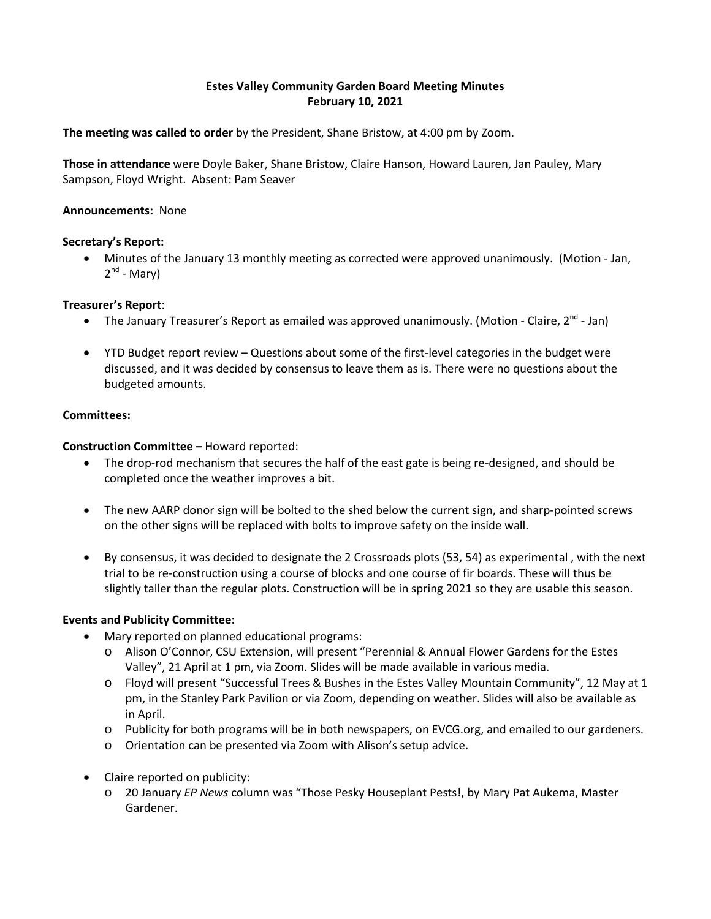# **Estes Valley Community Garden Board Meeting Minutes February 10, 2021**

**The meeting was called to order** by the President, Shane Bristow, at 4:00 pm by Zoom.

**Those in attendance** were Doyle Baker, Shane Bristow, Claire Hanson, Howard Lauren, Jan Pauley, Mary Sampson, Floyd Wright. Absent: Pam Seaver

## **Announcements:** None

## **Secretary's Report:**

• Minutes of the January 13 monthly meeting as corrected were approved unanimously. (Motion - Jan,  $2^{nd}$  - Mary)

## **Treasurer's Report**:

- The January Treasurer's Report as emailed was approved unanimously. (Motion Claire,  $2^{nd}$  Jan)
- YTD Budget report review Questions about some of the first-level categories in the budget were discussed, and it was decided by consensus to leave them as is. There were no questions about the budgeted amounts.

### **Committees:**

**Construction Committee –** Howard reported:

- The drop-rod mechanism that secures the half of the east gate is being re-designed, and should be completed once the weather improves a bit.
- The new AARP donor sign will be bolted to the shed below the current sign, and sharp-pointed screws on the other signs will be replaced with bolts to improve safety on the inside wall.
- By consensus, it was decided to designate the 2 Crossroads plots (53, 54) as experimental , with the next trial to be re-construction using a course of blocks and one course of fir boards. These will thus be slightly taller than the regular plots. Construction will be in spring 2021 so they are usable this season.

### **Events and Publicity Committee:**

- Mary reported on planned educational programs:
	- o Alison O'Connor, CSU Extension, will present "Perennial & Annual Flower Gardens for the Estes Valley", 21 April at 1 pm, via Zoom. Slides will be made available in various media.
	- o Floyd will present "Successful Trees & Bushes in the Estes Valley Mountain Community", 12 May at 1 pm, in the Stanley Park Pavilion or via Zoom, depending on weather. Slides will also be available as in April.
	- o Publicity for both programs will be in both newspapers, on EVCG.org, and emailed to our gardeners.
	- o Orientation can be presented via Zoom with Alison's setup advice.
- Claire reported on publicity:
	- o 20 January *EP News* column was "Those Pesky Houseplant Pests!, by Mary Pat Aukema, Master Gardener.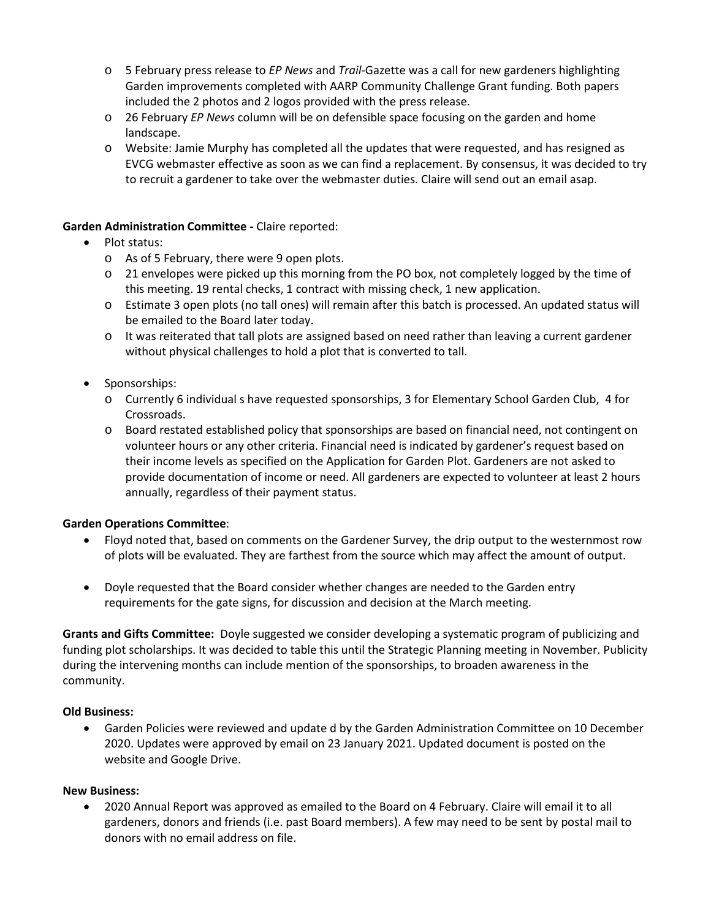- o 5 February press release to *EP News* and *Trail*-Gazette was a call for new gardeners highlighting Garden improvements completed with AARP Community Challenge Grant funding. Both papers included the 2 photos and 2 logos provided with the press release.
- o 26 February *EP News* column will be on defensible space focusing on the garden and home landscape.
- o Website: Jamie Murphy has completed all the updates that were requested, and has resigned as EVCG webmaster effective as soon as we can find a replacement. By consensus, it was decided to try to recruit a gardener to take over the webmaster duties. Claire will send out an email asap.

## **Garden Administration Committee -** Claire reported:

- Plot status:
	- o As of 5 February, there were 9 open plots.
	- $\circ$  21 envelopes were picked up this morning from the PO box, not completely logged by the time of this meeting. 19 rental checks, 1 contract with missing check, 1 new application.
	- o Estimate 3 open plots (no tall ones) will remain after this batch is processed. An updated status will be emailed to the Board later today.
	- $\circ$  It was reiterated that tall plots are assigned based on need rather than leaving a current gardener without physical challenges to hold a plot that is converted to tall.
- Sponsorships:
	- o Currently 6 individual s have requested sponsorships, 3 for Elementary School Garden Club, 4 for Crossroads.
	- o Board restated established policy that sponsorships are based on financial need, not contingent on volunteer hours or any other criteria. Financial need is indicated by gardener's request based on their income levels as specified on the Application for Garden Plot. Gardeners are not asked to provide documentation of income or need. All gardeners are expected to volunteer at least 2 hours annually, regardless of their payment status.

# **Garden Operations Committee**:

- Floyd noted that, based on comments on the Gardener Survey, the drip output to the westernmost row of plots will be evaluated. They are farthest from the source which may affect the amount of output.
- Doyle requested that the Board consider whether changes are needed to the Garden entry requirements for the gate signs, for discussion and decision at the March meeting.

**Grants and Gifts Committee:** Doyle suggested we consider developing a systematic program of publicizing and funding plot scholarships. It was decided to table this until the Strategic Planning meeting in November. Publicity during the intervening months can include mention of the sponsorships, to broaden awareness in the community.

### **Old Business:**

• Garden Policies were reviewed and update d by the Garden Administration Committee on 10 December 2020. Updates were approved by email on 23 January 2021. Updated document is posted on the website and Google Drive.

### **New Business:**

• 2020 Annual Report was approved as emailed to the Board on 4 February. Claire will email it to all gardeners, donors and friends (i.e. past Board members). A few may need to be sent by postal mail to donors with no email address on file.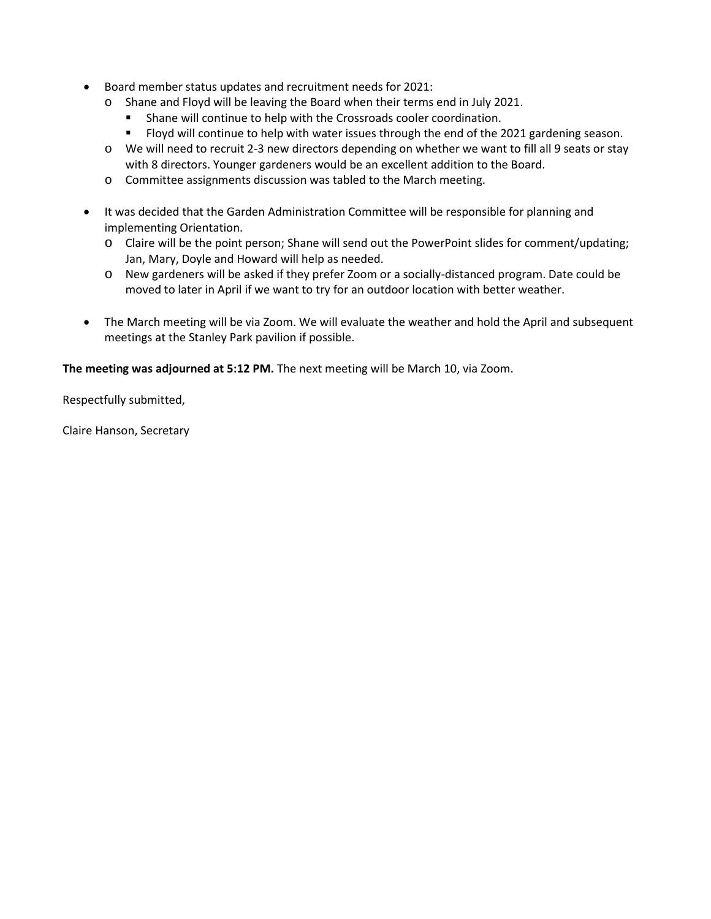- Board member status updates and recruitment needs for 2021:
	- o Shane and Floyd will be leaving the Board when their terms end in July 2021.<br>Shane will continue to help with the Crossroads cooler coordination
		- Shane will continue to help with the Crossroads cooler coordination.
		- **Fioyd will continue to help with water issues through the end of the 2021 gardening season.**
	- o We will need to recruit 2-3 new directors depending on whether we want to fill all 9 seats or stay with 8 directors. Younger gardeners would be an excellent addition to the Board.
	- o Committee assignments discussion was tabled to the March meeting.
- It was decided that the Garden Administration Committee will be responsible for planning and implementing Orientation.
	- o Claire will be the point person; Shane will send out the PowerPoint slides for comment/updating; Jan, Mary, Doyle and Howard will help as needed.
	- o New gardeners will be asked if they prefer Zoom or a socially-distanced program. Date could be moved to later in April if we want to try for an outdoor location with better weather.
- The March meeting will be via Zoom. We will evaluate the weather and hold the April and subsequent meetings at the Stanley Park pavilion if possible.

**The meeting was adjourned at 5:12 PM.** The next meeting will be March 10, via Zoom.

Respectfully submitted,

Claire Hanson, Secretary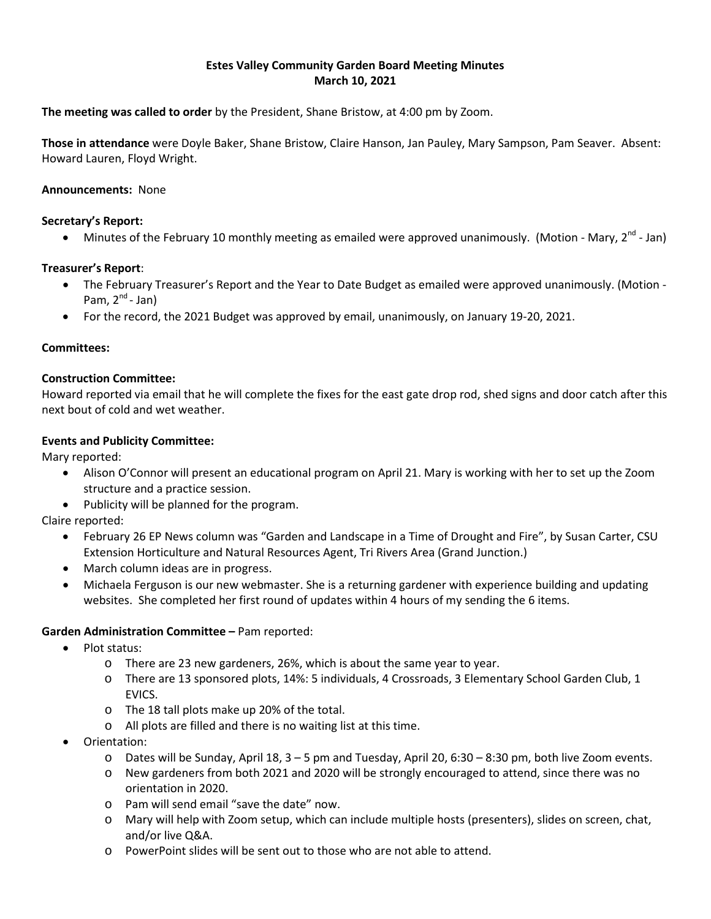## **Estes Valley Community Garden Board Meeting Minutes March 10, 2021**

**The meeting was called to order** by the President, Shane Bristow, at 4:00 pm by Zoom.

**Those in attendance** were Doyle Baker, Shane Bristow, Claire Hanson, Jan Pauley, Mary Sampson, Pam Seaver. Absent: Howard Lauren, Floyd Wright.

## **Announcements:** None

### **Secretary's Report:**

• Minutes of the February 10 monthly meeting as emailed were approved unanimously. (Motion - Mary,  $2^{nd}$  - Jan)

## **Treasurer's Report**:

- The February Treasurer's Report and the Year to Date Budget as emailed were approved unanimously. (Motion Pam,  $2^{nd}$ - Jan)
- For the record, the 2021 Budget was approved by email, unanimously, on January 19-20, 2021.

### **Committees:**

### **Construction Committee:**

Howard reported via email that he will complete the fixes for the east gate drop rod, shed signs and door catch after this next bout of cold and wet weather.

## **Events and Publicity Committee:**

Mary reported:

- Alison O'Connor will present an educational program on April 21. Mary is working with her to set up the Zoom structure and a practice session.
- Publicity will be planned for the program.

Claire reported:

- February 26 EP News column was "Garden and Landscape in a Time of Drought and Fire", by Susan Carter, CSU Extension Horticulture and Natural Resources Agent, Tri Rivers Area (Grand Junction.)
- March column ideas are in progress.
- Michaela Ferguson is our new webmaster. She is a returning gardener with experience building and updating websites. She completed her first round of updates within 4 hours of my sending the 6 items.

### **Garden Administration Committee –** Pam reported:

- Plot status:
	- o There are 23 new gardeners, 26%, which is about the same year to year.
	- o There are 13 sponsored plots, 14%: 5 individuals, 4 Crossroads, 3 Elementary School Garden Club, 1 EVICS.
	- o The 18 tall plots make up 20% of the total.
	- o All plots are filled and there is no waiting list at this time.
- Orientation:
	- o Dates will be Sunday, April 18, 3 5 pm and Tuesday, April 20, 6:30 8:30 pm, both live Zoom events.
	- o New gardeners from both 2021 and 2020 will be strongly encouraged to attend, since there was no orientation in 2020.
	- o Pam will send email "save the date" now.
	- o Mary will help with Zoom setup, which can include multiple hosts (presenters), slides on screen, chat, and/or live Q&A.
	- o PowerPoint slides will be sent out to those who are not able to attend.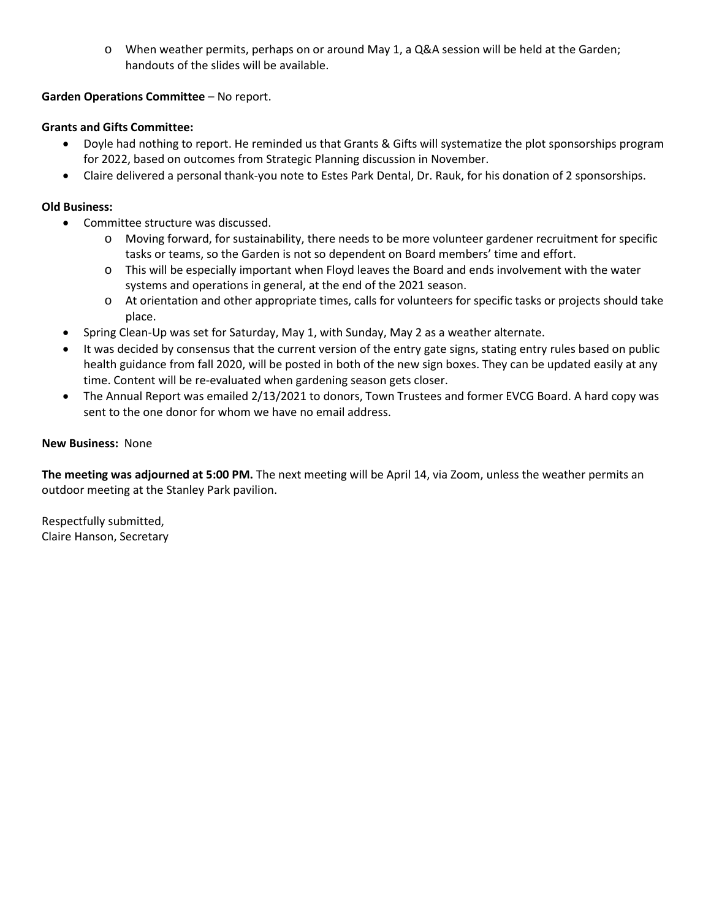o When weather permits, perhaps on or around May 1, a Q&A session will be held at the Garden; handouts of the slides will be available.

## **Garden Operations Committee** – No report.

## **Grants and Gifts Committee:**

- Doyle had nothing to report. He reminded us that Grants & Gifts will systematize the plot sponsorships program for 2022, based on outcomes from Strategic Planning discussion in November.
- Claire delivered a personal thank-you note to Estes Park Dental, Dr. Rauk, for his donation of 2 sponsorships.

## **Old Business:**

- Committee structure was discussed.
	- o Moving forward, for sustainability, there needs to be more volunteer gardener recruitment for specific tasks or teams, so the Garden is not so dependent on Board members' time and effort.
	- o This will be especially important when Floyd leaves the Board and ends involvement with the water systems and operations in general, at the end of the 2021 season.
	- o At orientation and other appropriate times, calls for volunteers for specific tasks or projects should take place.
- Spring Clean-Up was set for Saturday, May 1, with Sunday, May 2 as a weather alternate.
- It was decided by consensus that the current version of the entry gate signs, stating entry rules based on public health guidance from fall 2020, will be posted in both of the new sign boxes. They can be updated easily at any time. Content will be re-evaluated when gardening season gets closer.
- The Annual Report was emailed 2/13/2021 to donors, Town Trustees and former EVCG Board. A hard copy was sent to the one donor for whom we have no email address.

## **New Business:** None

**The meeting was adjourned at 5:00 PM.** The next meeting will be April 14, via Zoom, unless the weather permits an outdoor meeting at the Stanley Park pavilion.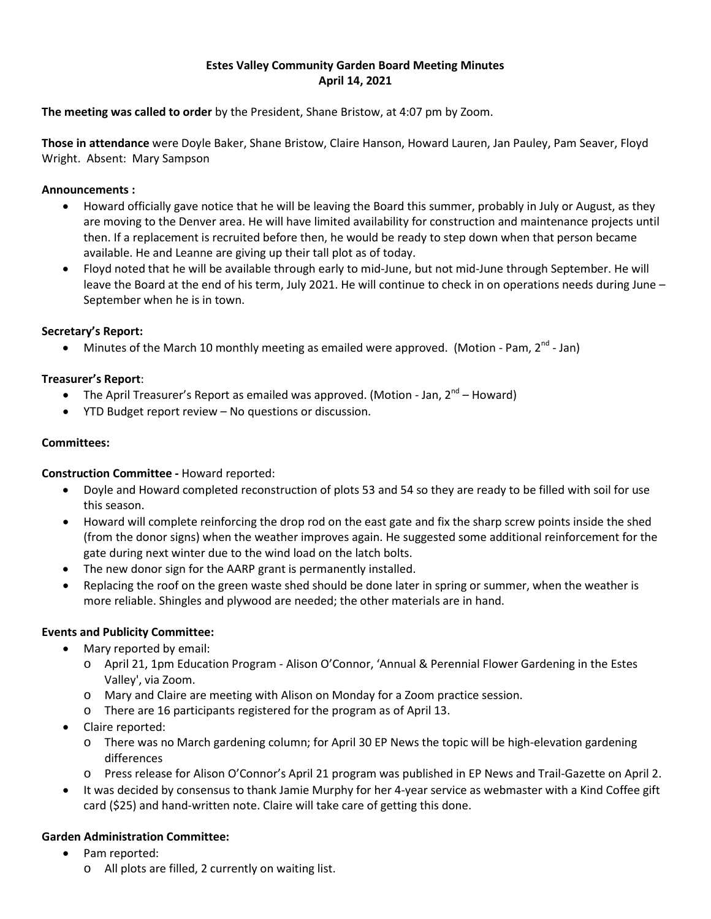## **Estes Valley Community Garden Board Meeting Minutes April 14, 2021**

**The meeting was called to order** by the President, Shane Bristow, at 4:07 pm by Zoom.

**Those in attendance** were Doyle Baker, Shane Bristow, Claire Hanson, Howard Lauren, Jan Pauley, Pam Seaver, Floyd Wright. Absent: Mary Sampson

## **Announcements :**

- Howard officially gave notice that he will be leaving the Board this summer, probably in July or August, as they are moving to the Denver area. He will have limited availability for construction and maintenance projects until then. If a replacement is recruited before then, he would be ready to step down when that person became available. He and Leanne are giving up their tall plot as of today.
- Floyd noted that he will be available through early to mid-June, but not mid-June through September. He will leave the Board at the end of his term, July 2021. He will continue to check in on operations needs during June – September when he is in town.

# **Secretary's Report:**

• Minutes of the March 10 monthly meeting as emailed were approved. (Motion - Pam,  $2^{nd}$  - Jan)

## **Treasurer's Report**:

- The April Treasurer's Report as emailed was approved. (Motion Jan,  $2^{nd}$  Howard)
- YTD Budget report review No questions or discussion.

### **Committees:**

### **Construction Committee -** Howard reported:

- Doyle and Howard completed reconstruction of plots 53 and 54 so they are ready to be filled with soil for use this season.
- Howard will complete reinforcing the drop rod on the east gate and fix the sharp screw points inside the shed (from the donor signs) when the weather improves again. He suggested some additional reinforcement for the gate during next winter due to the wind load on the latch bolts.
- The new donor sign for the AARP grant is permanently installed.
- Replacing the roof on the green waste shed should be done later in spring or summer, when the weather is more reliable. Shingles and plywood are needed; the other materials are in hand.

### **Events and Publicity Committee:**

- Mary reported by email:
	- o April 21, 1pm Education Program Alison O'Connor, 'Annual & Perennial Flower Gardening in the Estes Valley', via Zoom.
	- o Mary and Claire are meeting with Alison on Monday for a Zoom practice session.
	- o There are 16 participants registered for the program as of April 13.
- Claire reported:
	- o There was no March gardening column; for April 30 EP News the topic will be high-elevation gardening differences
	- o Press release for Alison O'Connor's April 21 program was published in EP News and Trail-Gazette on April 2.
- It was decided by consensus to thank Jamie Murphy for her 4-year service as webmaster with a Kind Coffee gift card (\$25) and hand-written note. Claire will take care of getting this done.

### **Garden Administration Committee:**

- Pam reported:
	- o All plots are filled, 2 currently on waiting list.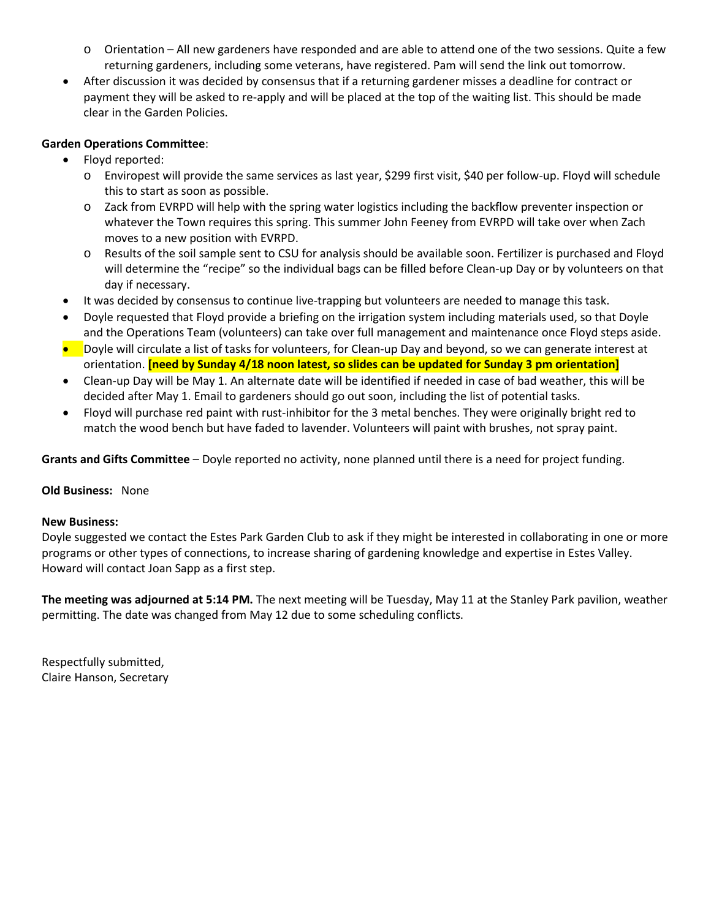- o Orientation All new gardeners have responded and are able to attend one of the two sessions. Quite a few returning gardeners, including some veterans, have registered. Pam will send the link out tomorrow.
- After discussion it was decided by consensus that if a returning gardener misses a deadline for contract or payment they will be asked to re-apply and will be placed at the top of the waiting list. This should be made clear in the Garden Policies.

## **Garden Operations Committee**:

- Floyd reported:
	- o Enviropest will provide the same services as last year, \$299 first visit, \$40 per follow-up. Floyd will schedule this to start as soon as possible.
	- o Zack from EVRPD will help with the spring water logistics including the backflow preventer inspection or whatever the Town requires this spring. This summer John Feeney from EVRPD will take over when Zach moves to a new position with EVRPD.
	- o Results of the soil sample sent to CSU for analysis should be available soon. Fertilizer is purchased and Floyd will determine the "recipe" so the individual bags can be filled before Clean-up Day or by volunteers on that day if necessary.
- It was decided by consensus to continue live-trapping but volunteers are needed to manage this task.
- Doyle requested that Floyd provide a briefing on the irrigation system including materials used, so that Doyle and the Operations Team (volunteers) can take over full management and maintenance once Floyd steps aside.
- Doyle will circulate a list of tasks for volunteers, for Clean-up Day and beyond, so we can generate interest at orientation. **[need by Sunday 4/18 noon latest, so slides can be updated for Sunday 3 pm orientation]**
- Clean-up Day will be May 1. An alternate date will be identified if needed in case of bad weather, this will be decided after May 1. Email to gardeners should go out soon, including the list of potential tasks.
- Floyd will purchase red paint with rust-inhibitor for the 3 metal benches. They were originally bright red to match the wood bench but have faded to lavender. Volunteers will paint with brushes, not spray paint.

**Grants and Gifts Committee** – Doyle reported no activity, none planned until there is a need for project funding.

### **Old Business:** None

### **New Business:**

Doyle suggested we contact the Estes Park Garden Club to ask if they might be interested in collaborating in one or more programs or other types of connections, to increase sharing of gardening knowledge and expertise in Estes Valley. Howard will contact Joan Sapp as a first step.

**The meeting was adjourned at 5:14 PM.** The next meeting will be Tuesday, May 11 at the Stanley Park pavilion, weather permitting. The date was changed from May 12 due to some scheduling conflicts.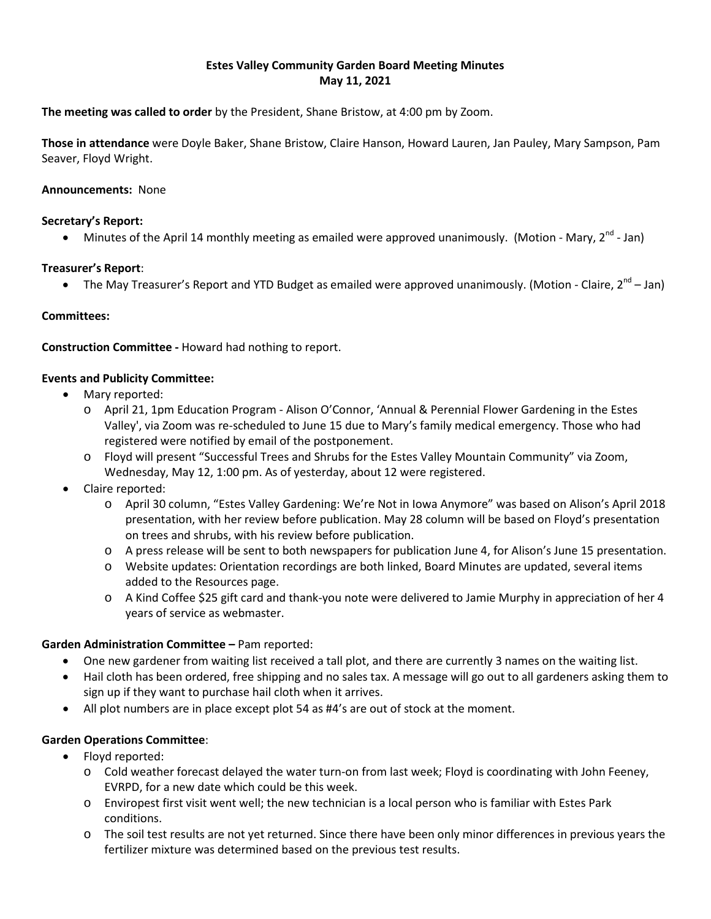## **Estes Valley Community Garden Board Meeting Minutes May 11, 2021**

**The meeting was called to order** by the President, Shane Bristow, at 4:00 pm by Zoom.

**Those in attendance** were Doyle Baker, Shane Bristow, Claire Hanson, Howard Lauren, Jan Pauley, Mary Sampson, Pam Seaver, Floyd Wright.

### **Announcements:** None

### **Secretary's Report:**

• Minutes of the April 14 monthly meeting as emailed were approved unanimously. (Motion - Mary,  $2^{nd}$  - Jan)

### **Treasurer's Report**:

• The May Treasurer's Report and YTD Budget as emailed were approved unanimously. (Motion - Claire,  $2^{nd}$  – Jan)

### **Committees:**

**Construction Committee -** Howard had nothing to report.

### **Events and Publicity Committee:**

- Mary reported:
	- o April 21, 1pm Education Program Alison O'Connor, 'Annual & Perennial Flower Gardening in the Estes Valley', via Zoom was re-scheduled to June 15 due to Mary's family medical emergency. Those who had registered were notified by email of the postponement.
	- o Floyd will present "Successful Trees and Shrubs for the Estes Valley Mountain Community" via Zoom, Wednesday, May 12, 1:00 pm. As of yesterday, about 12 were registered.
- Claire reported:
	- o April 30 column, "Estes Valley Gardening: We're Not in Iowa Anymore" was based on Alison's April 2018 presentation, with her review before publication. May 28 column will be based on Floyd's presentation on trees and shrubs, with his review before publication.
	- o A press release will be sent to both newspapers for publication June 4, for Alison's June 15 presentation.
	- o Website updates: Orientation recordings are both linked, Board Minutes are updated, several items added to the Resources page.
	- o A Kind Coffee \$25 gift card and thank-you note were delivered to Jamie Murphy in appreciation of her 4 years of service as webmaster.

### **Garden Administration Committee –** Pam reported:

- One new gardener from waiting list received a tall plot, and there are currently 3 names on the waiting list.
- Hail cloth has been ordered, free shipping and no sales tax. A message will go out to all gardeners asking them to sign up if they want to purchase hail cloth when it arrives.
- All plot numbers are in place except plot 54 as #4's are out of stock at the moment.

### **Garden Operations Committee**:

- Floyd reported:
	- o Cold weather forecast delayed the water turn-on from last week; Floyd is coordinating with John Feeney, EVRPD, for a new date which could be this week.
	- o Enviropest first visit went well; the new technician is a local person who is familiar with Estes Park conditions.
	- o The soil test results are not yet returned. Since there have been only minor differences in previous years the fertilizer mixture was determined based on the previous test results.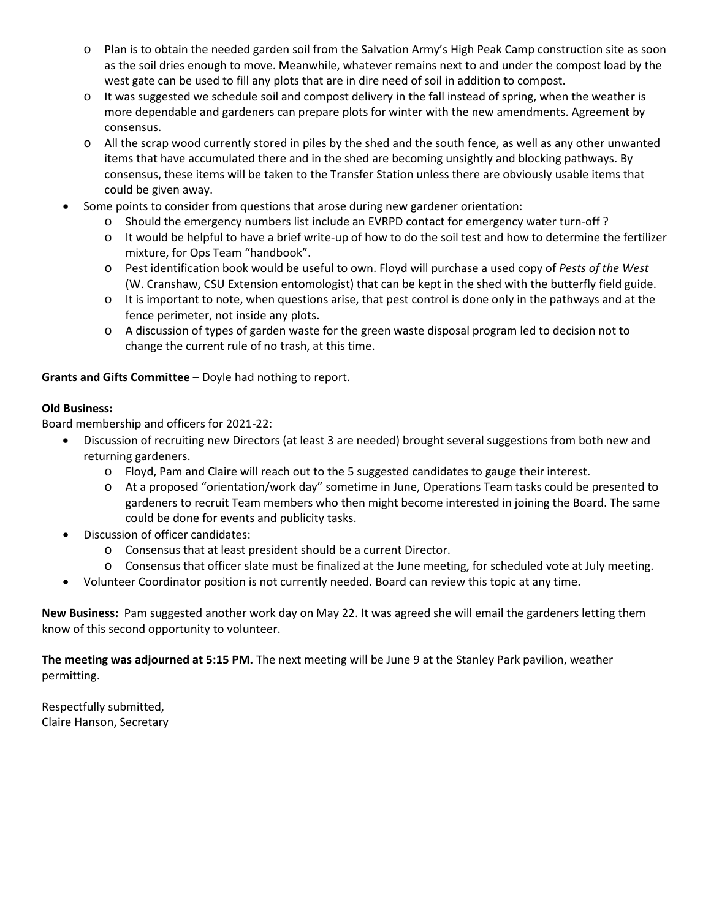- o Plan is to obtain the needed garden soil from the Salvation Army's High Peak Camp construction site as soon as the soil dries enough to move. Meanwhile, whatever remains next to and under the compost load by the west gate can be used to fill any plots that are in dire need of soil in addition to compost.
- o It was suggested we schedule soil and compost delivery in the fall instead of spring, when the weather is more dependable and gardeners can prepare plots for winter with the new amendments. Agreement by consensus.
- o All the scrap wood currently stored in piles by the shed and the south fence, as well as any other unwanted items that have accumulated there and in the shed are becoming unsightly and blocking pathways. By consensus, these items will be taken to the Transfer Station unless there are obviously usable items that could be given away.
- Some points to consider from questions that arose during new gardener orientation:
	- o Should the emergency numbers list include an EVRPD contact for emergency water turn-off ?
	- $\circ$  It would be helpful to have a brief write-up of how to do the soil test and how to determine the fertilizer mixture, for Ops Team "handbook".
	- o Pest identification book would be useful to own. Floyd will purchase a used copy of *Pests of the West*  (W. Cranshaw, CSU Extension entomologist) that can be kept in the shed with the butterfly field guide.
	- $\circ$  It is important to note, when questions arise, that pest control is done only in the pathways and at the fence perimeter, not inside any plots.
	- o A discussion of types of garden waste for the green waste disposal program led to decision not to change the current rule of no trash, at this time.

**Grants and Gifts Committee** – Doyle had nothing to report.

## **Old Business:**

Board membership and officers for 2021-22:

- Discussion of recruiting new Directors (at least 3 are needed) brought several suggestions from both new and returning gardeners.
	- o Floyd, Pam and Claire will reach out to the 5 suggested candidates to gauge their interest.
	- o At a proposed "orientation/work day" sometime in June, Operations Team tasks could be presented to gardeners to recruit Team members who then might become interested in joining the Board. The same could be done for events and publicity tasks.
- Discussion of officer candidates:
	- o Consensus that at least president should be a current Director.
	- o Consensus that officer slate must be finalized at the June meeting, for scheduled vote at July meeting.
- Volunteer Coordinator position is not currently needed. Board can review this topic at any time.

**New Business:** Pam suggested another work day on May 22. It was agreed she will email the gardeners letting them know of this second opportunity to volunteer.

**The meeting was adjourned at 5:15 PM.** The next meeting will be June 9 at the Stanley Park pavilion, weather permitting.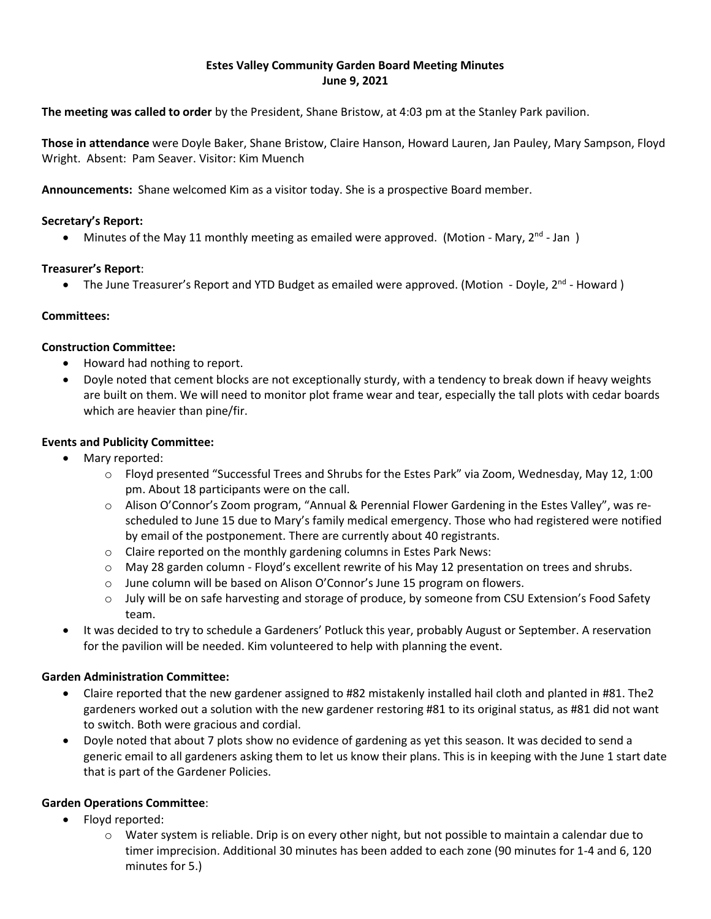## **Estes Valley Community Garden Board Meeting Minutes June 9, 2021**

**The meeting was called to order** by the President, Shane Bristow, at 4:03 pm at the Stanley Park pavilion.

**Those in attendance** were Doyle Baker, Shane Bristow, Claire Hanson, Howard Lauren, Jan Pauley, Mary Sampson, Floyd Wright. Absent: Pam Seaver. Visitor: Kim Muench

**Announcements:** Shane welcomed Kim as a visitor today. She is a prospective Board member.

### **Secretary's Report:**

• Minutes of the May 11 monthly meeting as emailed were approved. (Motion - Mary, 2<sup>nd</sup> - Jan)

## **Treasurer's Report**:

• The June Treasurer's Report and YTD Budget as emailed were approved. (Motion - Doyle, 2<sup>nd</sup> - Howard)

## **Committees:**

### **Construction Committee:**

- Howard had nothing to report.
- Doyle noted that cement blocks are not exceptionally sturdy, with a tendency to break down if heavy weights are built on them. We will need to monitor plot frame wear and tear, especially the tall plots with cedar boards which are heavier than pine/fir.

## **Events and Publicity Committee:**

- Mary reported:
	- o Floyd presented "Successful Trees and Shrubs for the Estes Park" via Zoom, Wednesday, May 12, 1:00 pm. About 18 participants were on the call.
	- o Alison O'Connor's Zoom program, "Annual & Perennial Flower Gardening in the Estes Valley", was rescheduled to June 15 due to Mary's family medical emergency. Those who had registered were notified by email of the postponement. There are currently about 40 registrants.
	- o Claire reported on the monthly gardening columns in Estes Park News:
	- o May 28 garden column Floyd's excellent rewrite of his May 12 presentation on trees and shrubs.
	- $\circ$  June column will be based on Alison O'Connor's June 15 program on flowers.
	- o July will be on safe harvesting and storage of produce, by someone from CSU Extension's Food Safety team.
- It was decided to try to schedule a Gardeners' Potluck this year, probably August or September. A reservation for the pavilion will be needed. Kim volunteered to help with planning the event.

### **Garden Administration Committee:**

- Claire reported that the new gardener assigned to #82 mistakenly installed hail cloth and planted in #81. The2 gardeners worked out a solution with the new gardener restoring #81 to its original status, as #81 did not want to switch. Both were gracious and cordial.
- Doyle noted that about 7 plots show no evidence of gardening as yet this season. It was decided to send a generic email to all gardeners asking them to let us know their plans. This is in keeping with the June 1 start date that is part of the Gardener Policies.

# **Garden Operations Committee**:

- Floyd reported:
	- o Water system is reliable. Drip is on every other night, but not possible to maintain a calendar due to timer imprecision. Additional 30 minutes has been added to each zone (90 minutes for 1-4 and 6, 120 minutes for 5.)